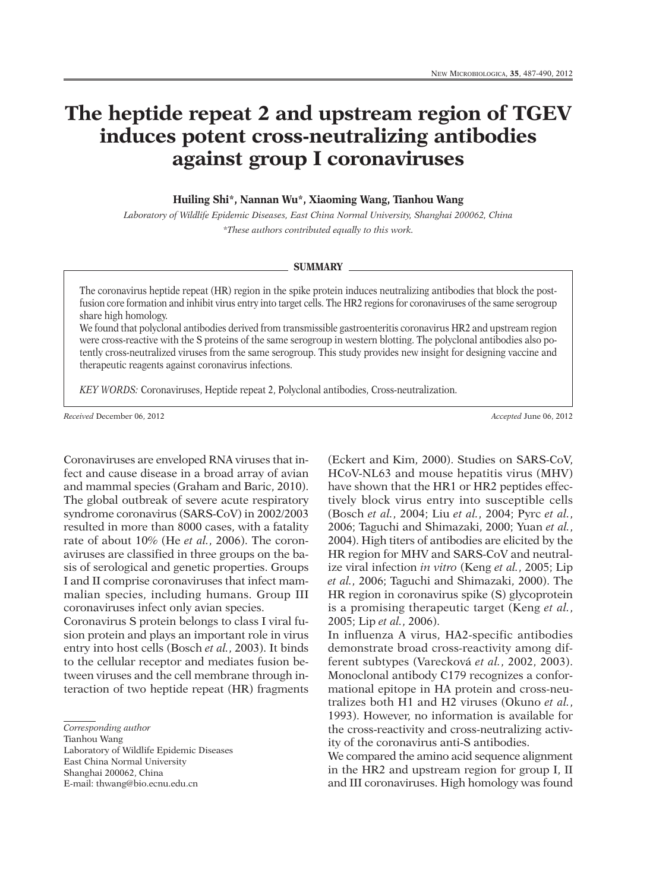## **The heptide repeat 2 and upstream region of TGEV induces potent cross-neutralizing antibodies against group I coronaviruses**

**Huiling Shi\*, Nannan Wu\*, Xiaoming Wang, Tianhou Wang**

*Laboratory of Wildlife Epidemic Diseases, East China Normal University, Shanghai 200062, China \*These authors contributed equally to this work.*

## **SUMMARY**

The coronavirus heptide repeat (HR) region in the spike protein induces neutralizing antibodies that block the postfusion core formation and inhibit virus entry into target cells. The HR2 regions for coronaviruses of the same serogroup share high homology.

We found that polyclonal antibodies derived from transmissible gastroenteritis coronavirus HR2 and upstream region were cross-reactive with the S proteins of the same serogroup in western blotting. The polyclonal antibodies also potently cross-neutralized viruses from the same serogroup. This study provides new insight for designing vaccine and therapeutic reagents against coronavirus infections.

*KEY WORDS:* Coronaviruses, Heptide repeat 2, Polyclonal antibodies, Cross-neutralization.

*Received* December 06, 2012 *Accepted* June 06, 2012

Coronaviruses are enveloped RNA viruses that infect and cause disease in a broad array of avian and mammal species (Graham and Baric, 2010). The global outbreak of severe acute respiratory syndrome coronavirus (SARS-CoV) in 2002/2003 resulted in more than 8000 cases, with a fatality rate of about 10% (He *et al.*, 2006). The coronaviruses are classified in three groups on the basis of serological and genetic properties. Groups I and II comprise coronaviruses that infect mammalian species, including humans. Group III coronaviruses infect only avian species.

Coronavirus S protein belongs to class I viral fusion protein and plays an important role in virus entry into host cells (Bosch *et al.*, 2003). It binds to the cellular receptor and mediates fusion between viruses and the cell membrane through interaction of two heptide repeat (HR) fragments

Tianhou Wang

Laboratory of Wildlife Epidemic Diseases East China Normal University Shanghai 200062, China E-mail: thwang@bio.ecnu.edu.cn

(Eckert and Kim, 2000). Studies on SARS-CoV, HCoV-NL63 and mouse hepatitis virus (MHV) have shown that the HR1 or HR2 peptides effectively block virus entry into susceptible cells (Bosch *et al.*, 2004; Liu *et al.*, 2004; Pyrc *et al.*, 2006; Taguchi and Shimazaki, 2000; Yuan *et al.*, 2004). High titers of antibodies are elicited by the HR region for MHV and SARS-CoV and neutralize viral infection *in vitro* (Keng *et al.*, 2005; Lip *et al.*, 2006; Taguchi and Shimazaki, 2000). The HR region in coronavirus spike (S) glycoprotein is a promising therapeutic target (Keng *et al.*, 2005; Lip *et al.*, 2006).

In influenza A virus, HA2-specific antibodies demonstrate broad cross-reactivity among different subtypes (Varecková *et al.*, 2002, 2003). Monoclonal antibody C179 recognizes a conformational epitope in HA protein and cross-neutralizes both H1 and H2 viruses (Okuno *et al.*, 1993). However, no information is available for the cross-reactivity and cross-neutralizing activity of the coronavirus anti-S antibodies.

We compared the amino acid sequence alignment in the HR2 and upstream region for group I, II and III coronaviruses. High homology was found

*Corresponding author*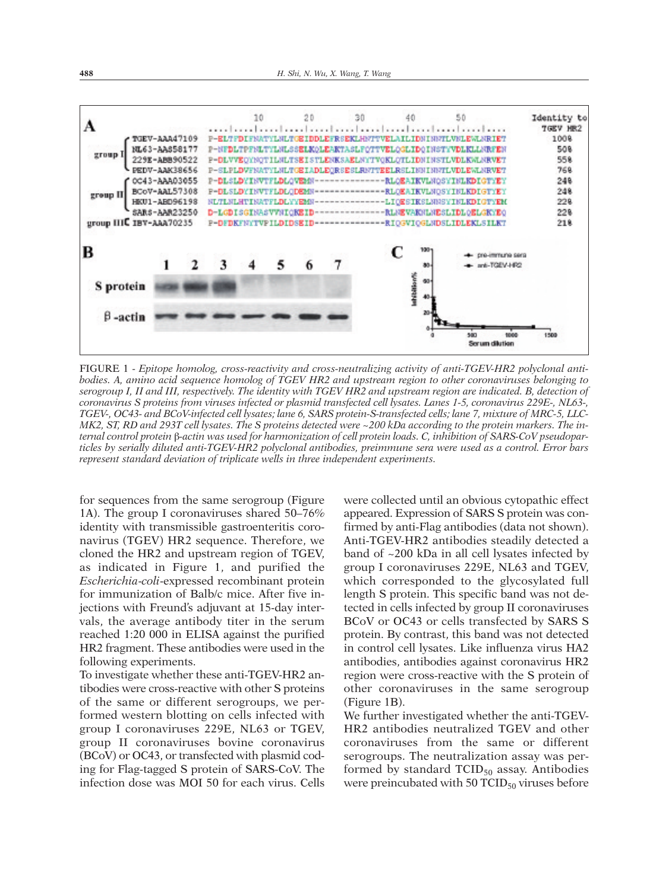

FIGURE 1 - *Epitope homolog, cross-reactivity and cross-neutralizing activity of anti-TGEV-HR2 polyclonal anti*bodies. A, amino acid sequence homolog of TGEV HR2 and upstream region to other coronaviruses belonging to serogroup I, II and III, respectively. The identity with TGEV HR2 and upstream region are indicated. B, detection of coronavirus S proteins from viruses infected or plasmid transfected cell lysates. Lanes 1-5, coronavirus 229E-, NL63-TGEV-, OC43- and BCoV-infected cell lysates; lane 6, SARS protein-S-transfected cells; lane 7, mixture of MRC-5, LLC-MK2, ST, RD and 293T cell lysates. The S proteins detected were ~200 kDa according to the protein markers. The internal control protein β-actin was used for harmonization of cell protein loads. C, inhibition of SARS-CoV pseudoparticles by serially diluted anti-TGEV-HR2 polyclonal antibodies, preimmune sera were used as a control. Error bars *represent standard deviation of triplicate wells in three independent experiments.*

for sequences from the same serogroup (Figure 1A). The group I coronaviruses shared 50–76% identity with transmissible gastroenteritis coronavirus (TGEV) HR2 sequence. Therefore, we cloned the HR2 and upstream region of TGEV, as indicated in Figure 1, and purified the *Escherichia*-*coli*-expressed recombinant protein for immunization of Balb/c mice. After five injections with Freund's adjuvant at 15-day intervals, the average antibody titer in the serum reached 1:20 000 in ELISA against the purified HR2 fragment. These antibodies were used in the following experiments.

To investigate whether these anti-TGEV-HR2 antibodies were cross-reactive with other S proteins of the same or different serogroups, we performed western blotting on cells infected with group I coronaviruses 229E, NL63 or TGEV, group II coronaviruses bovine coronavirus (BCoV) or OC43, or transfected with plasmid coding for Flag-tagged S protein of SARS-CoV. The infection dose was MOI 50 for each virus. Cells

were collected until an obvious cytopathic effect appeared. Expression of SARS S protein was confirmed by anti-Flag antibodies (data not shown). Anti-TGEV-HR2 antibodies steadily detected a band of ~200 kDa in all cell lysates infected by group I coronaviruses 229E, NL63 and TGEV, which corresponded to the glycosylated full length S protein. This specific band was not detected in cells infected by group II coronaviruses BCoV or OC43 or cells transfected by SARS S protein. By contrast, this band was not detected in control cell lysates. Like influenza virus HA2 antibodies, antibodies against coronavirus HR2 region were cross-reactive with the S protein of other coronaviruses in the same serogroup (Figure 1B).

We further investigated whether the anti-TGEV-HR2 antibodies neutralized TGEV and other coronaviruses from the same or different serogroups. The neutralization assay was performed by standard  $TCID_{50}$  assay. Antibodies were preincubated with  $50$  TCID<sub>50</sub> viruses before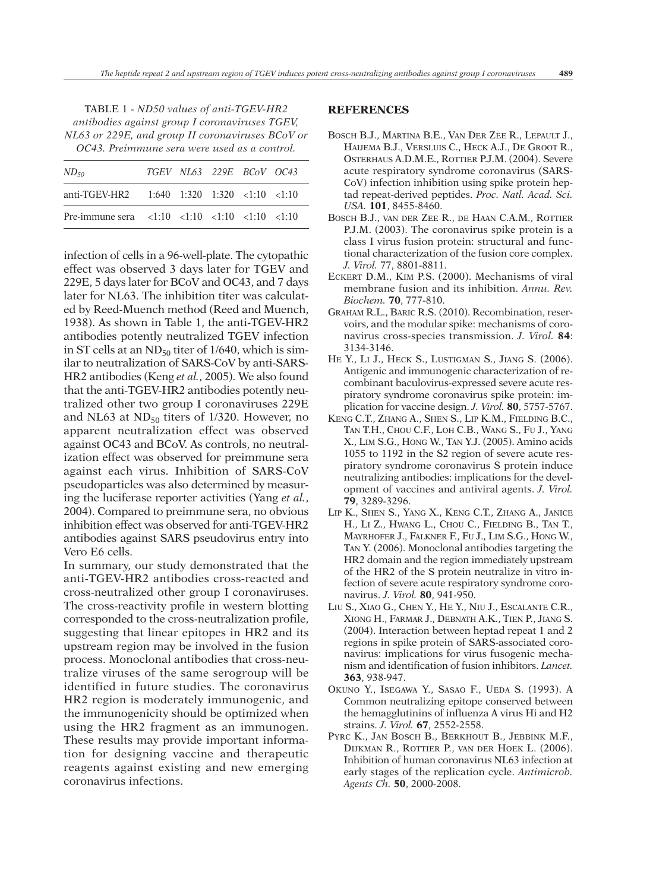| TABLE 1 - ND50 values of anti-TGEV-HR2           |
|--------------------------------------------------|
| antibodies against group I coronaviruses TGEV,   |
| NL63 or 229E, and group II coronaviruses BCoV or |
| OC43. Preimmune sera were used as a control.     |

| $ND_{50}$                                           |  | TGEV NL63 229E BCoV OC43 |  |
|-----------------------------------------------------|--|--------------------------|--|
| anti-TGEV-HR2 $1:640$ $1:320$ $1:320$ $1:10$ $1:10$ |  |                          |  |
| Pre-immune sera <1:10 <1:10 <1:10 <1:10 <1:10 <1:10 |  |                          |  |

infection of cells in a 96-well-plate. The cytopathic effect was observed 3 days later for TGEV and 229E, 5 days later for BCoV and OC43, and 7 days later for NL63. The inhibition titer was calculated by Reed-Muench method (Reed and Muench, 1938). As shown in Table 1, the anti-TGEV-HR2 antibodies potently neutralized TGEV infection in ST cells at an  $ND_{50}$  titer of 1/640, which is similar to neutralization of SARS-CoV by anti-SARS-HR2 antibodies (Keng *et al.*, 2005). We also found that the anti-TGEV-HR2 antibodies potently neutralized other two group I coronaviruses 229E and NL63 at  $ND_{50}$  titers of 1/320. However, no apparent neutralization effect was observed against OC43 and BCoV. As controls, no neutralization effect was observed for preimmune sera against each virus. Inhibition of SARS-CoV pseudoparticles was also determined by measuring the luciferase reporter activities (Yang *et al.*, 2004). Compared to preimmune sera, no obvious inhibition effect was observed for anti-TGEV-HR2 antibodies against SARS pseudovirus entry into Vero E6 cells.

In summary, our study demonstrated that the anti-TGEV-HR2 antibodies cross-reacted and cross-neutralized other group I coronaviruses. The cross-reactivity profile in western blotting corresponded to the cross-neutralization profile, suggesting that linear epitopes in HR2 and its upstream region may be involved in the fusion process. Monoclonal antibodies that cross-neutralize viruses of the same serogroup will be identified in future studies. The coronavirus HR2 region is moderately immunogenic, and the immunogenicity should be optimized when using the HR2 fragment as an immunogen. These results may provide important information for designing vaccine and therapeutic reagents against existing and new emerging coronavirus infections.

## **REFERENCES**

- BOSCH B.J., MARTINA B.E., VAN DER ZEE R., LEPAULT J., HAIJEMA B.J., VERSLUIS C., HECK A.J., DE GROOT R., OSTERHAUS A.D.M.E., ROTTIER P.J.M. (2004). Severe acute respiratory syndrome coronavirus (SARS-CoV) infection inhibition using spike protein heptad repeat-derived peptides. *Proc. Natl. Acad. Sci. USA.* **101**, 8455-8460.
- BOSCH B.J., VAN DER ZEE R., DE HAAN C.A.M., ROTTIER P.J.M. (2003). The coronavirus spike protein is a class I virus fusion protein: structural and functional characterization of the fusion core complex. *J. Virol.* 77, 8801-8811.
- ECKERT D.M., KIM P.S. (2000). Mechanisms of viral membrane fusion and its inhibition. *Annu. Rev. Biochem.* **70**, 777-810.
- GRAHAM R.L., BARIC R.S. (2010). Recombination, reservoirs, and the modular spike: mechanisms of coronavirus cross-species transmission. *J. Virol.* **84**: 3134-3146.
- HE Y., LI J., HECK S., LUSTIGMAN S., JIANG S. (2006). Antigenic and immunogenic characterization of recombinant baculovirus-expressed severe acute respiratory syndrome coronavirus spike protein: implication for vaccine design. *J. Virol.* **80**, 5757-5767.
- KENG C.T., ZHANG A., SHEN S., LIP K.M., FIELDING B.C., TAN T.H., CHOU C.F., LOH C.B., WANG S., FU J., YANG X., LIM S.G., HONG W., TAN Y.J. (2005). Amino acids 1055 to 1192 in the S2 region of severe acute respiratory syndrome coronavirus S protein induce neutralizing antibodies: implications for the development of vaccines and antiviral agents. *J. Virol.* **79**, 3289-3296.
- LIP K., SHEN S., YANG X., KENG C.T., ZHANG A., JANICE H., LI Z., HWANG L., CHOU C., FIELDING B., TAN T., MAYRHOFER J., FALKNER F., FU J., LIM S.G., HONG W., TAN Y. (2006). Monoclonal antibodies targeting the HR2 domain and the region immediately upstream of the HR2 of the S protein neutralize in vitro infection of severe acute respiratory syndrome coronavirus. *J. Virol.* **80**, 941-950.
- LIU S., XIAO G., CHEN Y., HE Y., NIU J., ESCALANTE C.R., XIONG H., FARMAR J., DEBNATH A.K., TIEN P., JIANG S. (2004). Interaction between heptad repeat 1 and 2 regions in spike protein of SARS-associated coronavirus: implications for virus fusogenic mechanism and identification of fusion inhibitors. *Lancet.* **363**, 938-947.
- OKUNO Y., ISEGAWA Y., SASAO F., UEDA S. (1993). A Common neutralizing epitope conserved between the hemagglutinins of influenza A virus Hi and H2 strains. *J. Virol.* **67**, 2552-2558.
- PYRC K., JAN BOSCH B., BERKHOUT B., JEBBINK M.F., DIJKMAN R., ROTTIER P., VAN DER HOEK L. (2006). Inhibition of human coronavirus NL63 infection at early stages of the replication cycle. *Antimicrob. Agents Ch.* **50**, 2000-2008.